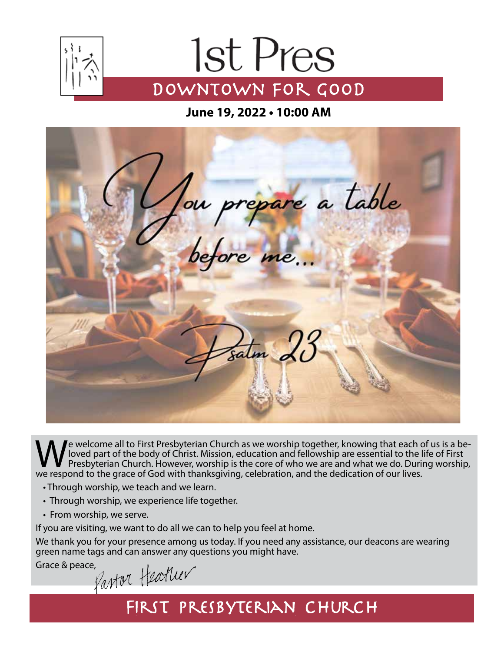

# 1st Pres DOWNTOWN FOR GOOD

**June 19, 2022 • 10:00 AM**



We welcome all to First Presbyterian Church as we worship together, knowing that each of us is a be-<br>We loved part of the body of Christ. Mission, education and fellowship are essential to the life of First<br>Presbyterian Ch loved part of the body of Christ. Mission, education and fellowship are essential to the life of First Presbyterian Church. However, worship is the core of who we are and what we do. During worship, we respond to the grace of God with thanksgiving, celebration, and the dedication of our lives.

- Through worship, we teach and we learn.
- Through worship, we experience life together.
- From worship, we serve.

If you are visiting, we want to do all we can to help you feel at home.

We thank you for your presence among us today. If you need any assistance, our deacons are wearing green name tags and can answer any questions you might have.

Grace & peace,<br>Pantor Healuer

## FIRST PRESBYTERIAN CHURCH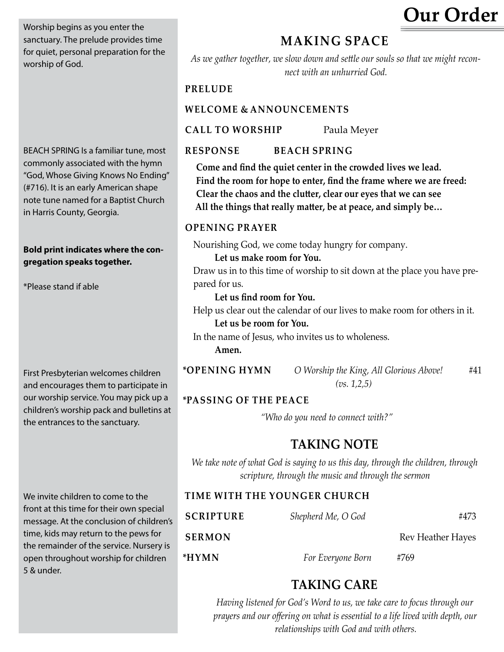**Our Order** 

Worship begins as you enter the sanctuary. The prelude provides time for quiet, personal preparation for the worship of God.

BEACH SPRING Is a familiar tune, most commonly associated with the hymn "God, Whose Giving Knows No Ending" (#716). It is an early American shape note tune named for a Baptist Church in Harris County, Georgia.

### **Bold print indicates where the congregation speaks together.**

\*Please stand if able

First Presbyterian welcomes children and encourages them to participate in our worship service. You may pick up a children's worship pack and bulletins at the entrances to the sanctuary.

We invite children to come to the front at this time for their own special message. At the conclusion of children's time, kids may return to the pews for the remainder of the service. Nursery is open throughout worship for children 5 & under.

### **MAKING SPACE**

*As we gather together, we slow down and settle our souls so that we might reconnect with an unhurried God.*

### **PRELUDE**

### **WELCOME & ANNOUNCEMENTS**

**Call to Worship** Paula Meyer

### **Response BeAch Spring**

**Come and find the quiet center in the crowded lives we lead. Find the room for hope to enter, find the frame where we are freed: Clear the chaos and the clutter, clear our eyes that we can see All the things that really matter, be at peace, and simply be…** 

### **Opening Prayer**

Nourishing God, we come today hungry for company.

**Let us make room for You.**

Draw us in to this time of worship to sit down at the place you have prepared for us.

**Let us find room for You.**

Help us clear out the calendar of our lives to make room for others in it. **Let us be room for You.**

In the name of Jesus, who invites us to wholeness.

**Amen.**

**\*opening HymN** *O Worship the King, All Glorious Above!* #41 *(vs. 1,2,5)*

### **\*Passing of the Peace**

*"Who do you need to connect with?"*

### **TAKING NOTE**

*We take note of what God is saying to us this day, through the children, through scripture, through the music and through the sermon*

### **time with the younger ChURCH**

| <b>SCRIPTURE</b> | Shepherd Me, O God | #473                     |
|------------------|--------------------|--------------------------|
| <b>SERMON</b>    |                    | <b>Rev Heather Hayes</b> |
| *HYMN            | For Everyone Born  | #769                     |

### **TAKING CARE**

*Having listened for God's Word to us, we take care to focus through our prayers and our offering on what is essential to a life lived with depth, our relationships with God and with others.*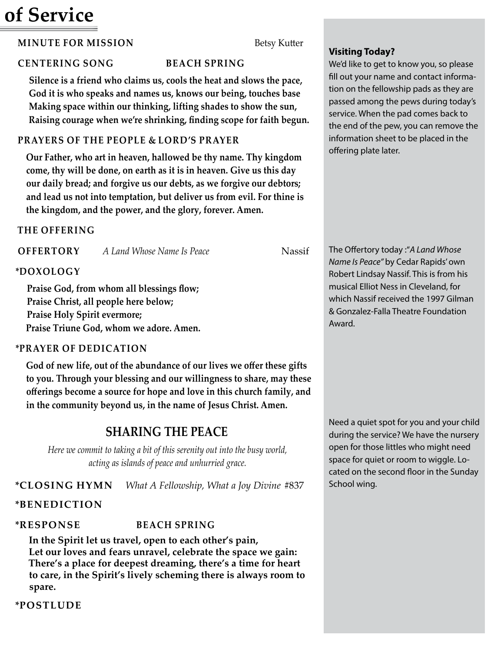## **of Service**

### **MINUTE FOR MISSION** Betsy Kutter

### **Centering Song BeAch Spring**

**Silence is a friend who claims us, cools the heat and slows the pace, God it is who speaks and names us, knows our being, touches base Making space within our thinking, lifting shades to show the sun, Raising courage when we're shrinking, finding scope for faith begun.**

### **Prayers of the people & Lord's Prayer**

**Our Father, who art in heaven, hallowed be thy name. Thy kingdom come, thy will be done, on earth as it is in heaven. Give us this day our daily bread; and forgive us our debts, as we forgive our debtors; and lead us not into temptation, but deliver us from evil. For thine is the kingdom, and the power, and the glory, forever. Amen.**

### **the offering**

| <b>OFFERTORY</b> | A Land Whose Name Is Peace | Nassif |
|------------------|----------------------------|--------|
|                  |                            |        |

### **\*DOXOLOGY**

**Praise God, from whom all blessings flow; Praise Christ, all people here below; Praise Holy Spirit evermore; Praise Triune God, whom we adore. Amen.**

### **\*Prayer of Dedication**

**God of new life, out of the abundance of our lives we offer these gifts to you. Through your blessing and our willingness to share, may these offerings become a source for hope and love in this church family, and in the community beyond us, in the name of Jesus Christ. Amen.**

### **SHARING THE PEACE**

*Here we commit to taking a bit of this serenity out into the busy world, acting as islands of peace and unhurried grace.*

**\*Closing Hymn** *What A Fellowship, What a Joy Divine* #837

### **\*Benediction**

### **\*Response BeAch Spring**

**In the Spirit let us travel, open to each other's pain, Let our loves and fears unravel, celebrate the space we gain: There's a place for deepest dreaming, there's a time for heart to care, in the Spirit's lively scheming there is always room to spare.**

**\*Postlude**

### **Visiting Today?**

We'd like to get to know you, so please fill out your name and contact information on the fellowship pads as they are passed among the pews during today's service. When the pad comes back to the end of the pew, you can remove the information sheet to be placed in the offering plate later.

The Offertory today :"*A Land Whose Name Is Peace"* by Cedar Rapids' own Robert Lindsay Nassif. This is from his musical Elliot Ness in Cleveland, for which Nassif received the 1997 Gilman & Gonzalez-Falla Theatre Foundation Award.

Need a quiet spot for you and your child during the service? We have the nursery open for those littles who might need space for quiet or room to wiggle. Located on the second floor in the Sunday School wing.